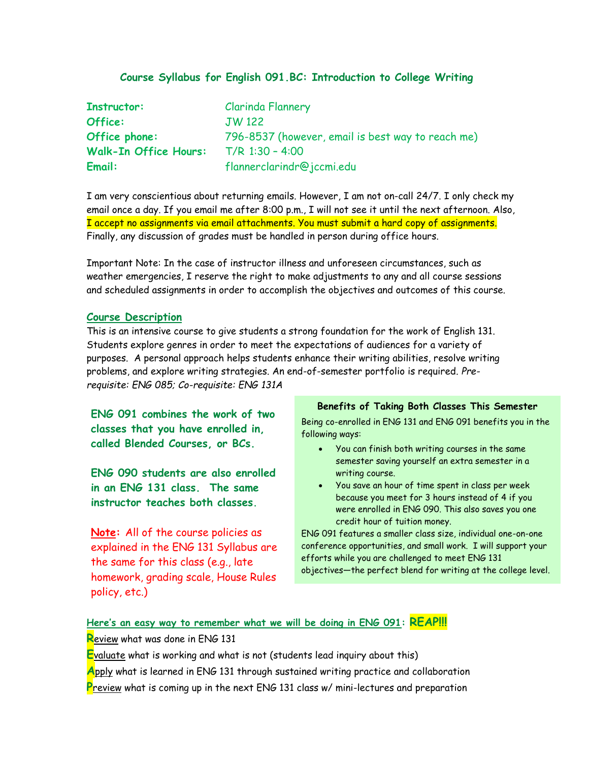## **Course Syllabus for English 091.BC: Introduction to College Writing**

| Instructor:                  | Clarinda Flannery                                 |
|------------------------------|---------------------------------------------------|
| Office:                      | JW 122                                            |
| Office phone:                | 796-8537 (however, email is best way to reach me) |
| <b>Walk-In Office Hours:</b> | $T/R$ 1:30 - 4:00                                 |
| Email:                       | flannerclarindr@jccmi.edu                         |

I am very conscientious about returning emails. However, I am not on-call 24/7. I only check my email once a day. If you email me after 8:00 p.m., I will not see it until the next afternoon. Also, I accept no assignments via email attachments. You must submit a hard copy of assignments. Finally, any discussion of grades must be handled in person during office hours.

Important Note: In the case of instructor illness and unforeseen circumstances, such as weather emergencies, I reserve the right to make adjustments to any and all course sessions and scheduled assignments in order to accomplish the objectives and outcomes of this course.

#### **Course Description**

This is an intensive course to give students a strong foundation for the work of English 131. Students explore genres in order to meet the expectations of audiences for a variety of purposes. A personal approach helps students enhance their writing abilities, resolve writing problems, and explore writing strategies. An end-of-semester portfolio is required. *Prerequisite: ENG 085; Co-requisite: ENG 131A*

**ENG 091 combines the work of two classes that you have enrolled in, called Blended Courses, or BCs.** 

**ENG 090 students are also enrolled in an ENG 131 class. The same instructor teaches both classes.**

**Note:** All of the course policies as explained in the ENG 131 Syllabus are the same for this class (e.g., late homework, grading scale, House Rules policy, etc.)

#### **Benefits of Taking Both Classes This Semester**

Being co-enrolled in ENG 131 and ENG 091 benefits you in the following ways:

- You can finish both writing courses in the same semester saving yourself an extra semester in a writing course.
- You save an hour of time spent in class per week because you meet for 3 hours instead of 4 if you were enrolled in ENG 090. This also saves you one credit hour of tuition money.

ENG 091 features a smaller class size, individual one-on-one conference opportunities, and small work. I will support your efforts while you are challenged to meet ENG 131 objectives—the perfect blend for writing at the college level.

#### **Here's an easy way to remember what we will be doing in ENG 091: REAP!!!**

**R**eview what was done in ENG 131

**E**valuate what is working and what is not (students lead inquiry about this)

- **A**pply what is learned in ENG 131 through sustained writing practice and collaboration
- **P**review what is coming up in the next ENG 131 class w/ mini-lectures and preparation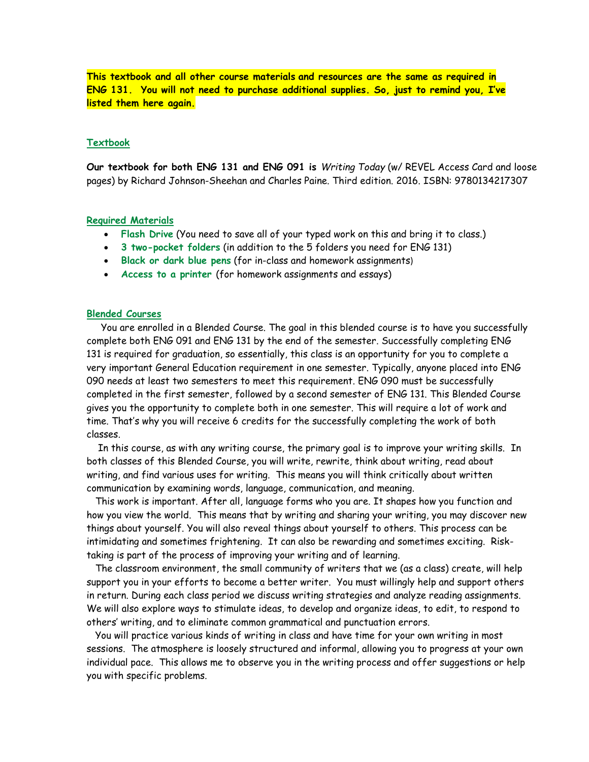**This textbook and all other course materials and resources are the same as required in ENG 131. You will not need to purchase additional supplies. So, just to remind you, I've listed them here again.**

#### **Textbook**

**Our textbook for both ENG 131 and ENG 091 is** *Writing Today* (w/ REVEL Access Card and loose pages) by Richard Johnson-Sheehan and Charles Paine. Third edition. 2016. ISBN: 9780134217307

#### **Required Materials**

- **Flash Drive** (You need to save all of your typed work on this and bring it to class.)
- **3 two-pocket folders** (in addition to the 5 folders you need for ENG 131)
- **Black or dark blue pens** (for in-class and homework assignments)
- **Access to a printer** (for homework assignments and essays)

#### **Blended Courses**

 You are enrolled in a Blended Course. The goal in this blended course is to have you successfully complete both ENG 091 and ENG 131 by the end of the semester. Successfully completing ENG 131 is required for graduation, so essentially, this class is an opportunity for you to complete a very important General Education requirement in one semester. Typically, anyone placed into ENG 090 needs at least two semesters to meet this requirement. ENG 090 must be successfully completed in the first semester, followed by a second semester of ENG 131. This Blended Course gives you the opportunity to complete both in one semester. This will require a lot of work and time. That's why you will receive 6 credits for the successfully completing the work of both classes.

 In this course, as with any writing course, the primary goal is to improve your writing skills. In both classes of this Blended Course, you will write, rewrite, think about writing, read about writing, and find various uses for writing. This means you will think critically about written communication by examining words, language, communication, and meaning.

 This work is important. After all, language forms who you are. It shapes how you function and how you view the world. This means that by writing and sharing your writing, you may discover new things about yourself. You will also reveal things about yourself to others. This process can be intimidating and sometimes frightening. It can also be rewarding and sometimes exciting. Risktaking is part of the process of improving your writing and of learning.

 The classroom environment, the small community of writers that we (as a class) create, will help support you in your efforts to become a better writer. You must willingly help and support others in return. During each class period we discuss writing strategies and analyze reading assignments. We will also explore ways to stimulate ideas, to develop and organize ideas, to edit, to respond to others' writing, and to eliminate common grammatical and punctuation errors.

 You will practice various kinds of writing in class and have time for your own writing in most sessions. The atmosphere is loosely structured and informal, allowing you to progress at your own individual pace. This allows me to observe you in the writing process and offer suggestions or help you with specific problems.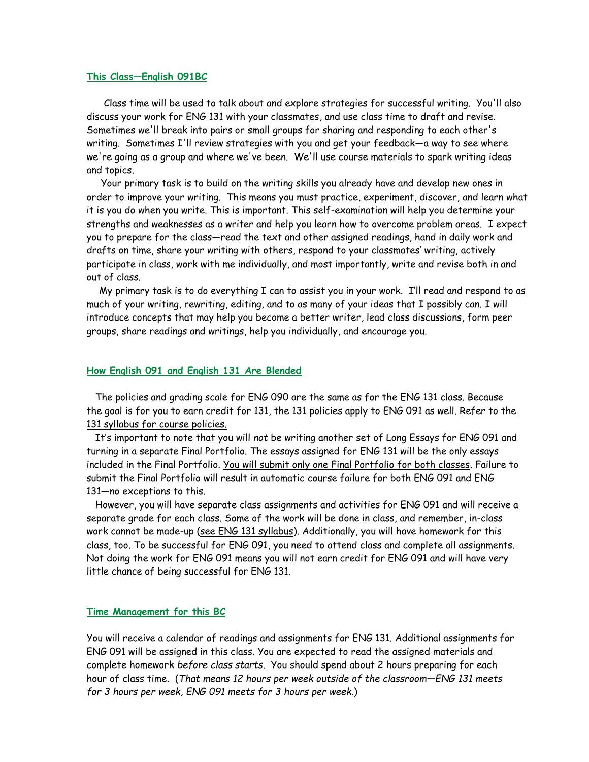#### **This Class—English 091BC**

 Class time will be used to talk about and explore strategies for successful writing. You'll also discuss your work for ENG 131 with your classmates, and use class time to draft and revise. Sometimes we'll break into pairs or small groups for sharing and responding to each other's writing. Sometimes I'll review strategies with you and get your feedback—a way to see where we're going as a group and where we've been. We'll use course materials to spark writing ideas and topics.

 Your primary task is to build on the writing skills you already have and develop new ones in order to improve your writing. This means you must practice, experiment, discover, and learn what it is you do when you write. This is important. This self-examination will help you determine your strengths and weaknesses as a writer and help you learn how to overcome problem areas. I expect you to prepare for the class—read the text and other assigned readings, hand in daily work and drafts on time, share your writing with others, respond to your classmates' writing, actively participate in class, work with me individually, and most importantly, write and revise both in and out of class.

My primary task is to do everything I can to assist you in your work. I'll read and respond to as much of your writing, rewriting, editing, and to as many of your ideas that I possibly can. I will introduce concepts that may help you become a better writer, lead class discussions, form peer groups, share readings and writings, help you individually, and encourage you.

#### **How English 091 and English 131 Are Blended**

 The policies and grading scale for ENG 090 are the same as for the ENG 131 class. Because the goal is for you to earn credit for 131, the 131 policies apply to ENG 091 as well. Refer to the 131 syllabus for course policies.

 It's important to note that you will *not* be writing another set of Long Essays for ENG 091 and turning in a separate Final Portfolio. The essays assigned for ENG 131 will be the only essays included in the Final Portfolio. You will submit only one Final Portfolio for both classes. Failure to submit the Final Portfolio will result in automatic course failure for both ENG 091 and ENG 131—no exceptions to this.

 However, you will have separate class assignments and activities for ENG 091 and will receive a separate grade for each class. Some of the work will be done in class, and remember, in-class work cannot be made-up (see ENG 131 syllabus). Additionally, you will have homework for this class, too. To be successful for ENG 091, you need to attend class and complete all assignments. Not doing the work for ENG 091 means you will not earn credit for ENG 091 and will have very little chance of being successful for ENG 131.

#### **Time Management for this BC**

You will receive a calendar of readings and assignments for ENG 131. Additional assignments for ENG 091 will be assigned in this class. You are expected to read the assigned materials and complete homework *before class starts*. You should spend about 2 hours preparing for each hour of class time. (*That means 12 hours per week outside of the classroom—ENG 131 meets for 3 hours per week, ENG 091 meets for 3 hours per week*.)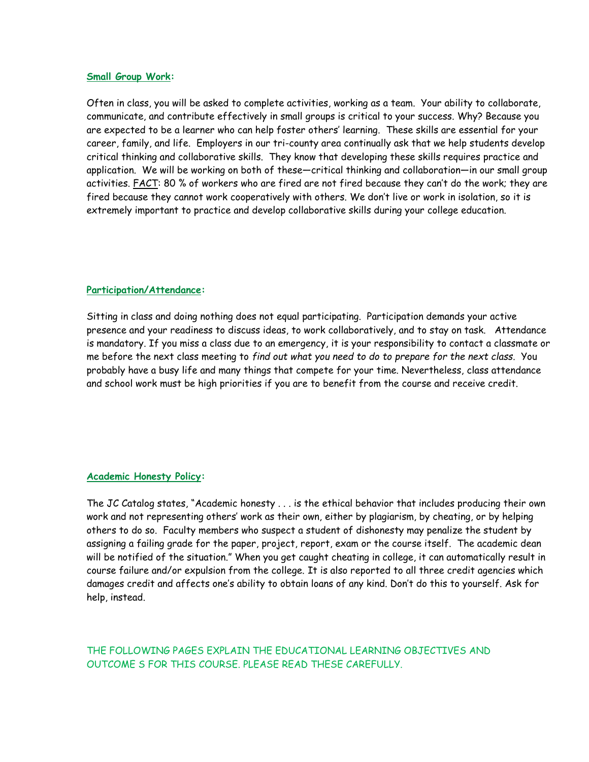#### **Small Group Work:**

Often in class, you will be asked to complete activities, working as a team. Your ability to collaborate, communicate, and contribute effectively in small groups is critical to your success. Why? Because you are expected to be a learner who can help foster others' learning. These skills are essential for your career, family, and life. Employers in our tri-county area continually ask that we help students develop critical thinking and collaborative skills. They know that developing these skills requires practice and application. We will be working on both of these—critical thinking and collaboration—in our small group activities. FACT: 80 % of workers who are fired are not fired because they can't do the work; they are fired because they cannot work cooperatively with others. We don't live or work in isolation, so it is extremely important to practice and develop collaborative skills during your college education.

#### **Participation/Attendance:**

Sitting in class and doing nothing does not equal participating. Participation demands your active presence and your readiness to discuss ideas, to work collaboratively, and to stay on task.Attendance is mandatory. If you miss a class due to an emergency, it is your responsibility to contact a classmate or me before the next class meeting to *find out what you need to do to prepare for the next class*. You probably have a busy life and many things that compete for your time. Nevertheless, class attendance and school work must be high priorities if you are to benefit from the course and receive credit.

#### **Academic Honesty Policy:**

The JC Catalog states, "Academic honesty . . . is the ethical behavior that includes producing their own work and not representing others' work as their own, either by plagiarism, by cheating, or by helping others to do so. Faculty members who suspect a student of dishonesty may penalize the student by assigning a failing grade for the paper, project, report, exam or the course itself. The academic dean will be notified of the situation." When you get caught cheating in college, it can automatically result in course failure and/or expulsion from the college. It is also reported to all three credit agencies which damages credit and affects one's ability to obtain loans of any kind. Don't do this to yourself. Ask for help, instead.

THE FOLLOWING PAGES EXPLAIN THE EDUCATIONAL LEARNING OBJECTIVES AND OUTCOME S FOR THIS COURSE. PLEASE READ THESE CAREFULLY.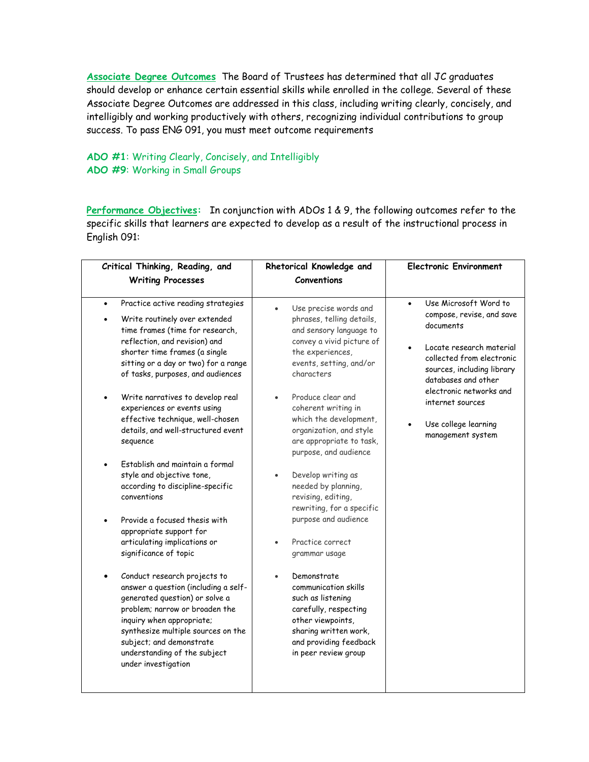**Associate Degree Outcomes** The Board of Trustees has determined that all JC graduates should develop or enhance certain essential skills while enrolled in the college. Several of these Associate Degree Outcomes are addressed in this class, including writing clearly, concisely, and intelligibly and working productively with others, recognizing individual contributions to group success. To pass ENG 091, you must meet outcome requirements

## **ADO #1**: Writing Clearly, Concisely, and Intelligibly **ADO #9**: Working in Small Groups

**Performance Objectives:** In conjunction with ADOs 1 & 9, the following outcomes refer to the specific skills that learners are expected to develop as a result of the instructional process in English 091:

| Critical Thinking, Reading, and                                                                                                                                                                                                                                                                                                                                                                                                          | Rhetorical Knowledge and                                                                                                                                                                                                                                                                                          | <b>Electronic Environment</b>                                                                                                                                                                                                                                                          |
|------------------------------------------------------------------------------------------------------------------------------------------------------------------------------------------------------------------------------------------------------------------------------------------------------------------------------------------------------------------------------------------------------------------------------------------|-------------------------------------------------------------------------------------------------------------------------------------------------------------------------------------------------------------------------------------------------------------------------------------------------------------------|----------------------------------------------------------------------------------------------------------------------------------------------------------------------------------------------------------------------------------------------------------------------------------------|
| <b>Writing Processes</b>                                                                                                                                                                                                                                                                                                                                                                                                                 | <b>Conventions</b>                                                                                                                                                                                                                                                                                                |                                                                                                                                                                                                                                                                                        |
| Practice active reading strategies<br>$\bullet$<br>Write routinely over extended<br>$\bullet$<br>time frames (time for research,<br>reflection, and revision) and<br>shorter time frames (a single<br>sitting or a day or two) for a range<br>of tasks, purposes, and audiences<br>Write narratives to develop real<br>experiences or events using<br>effective technique, well-chosen<br>details, and well-structured event<br>sequence | Use precise words and<br>$\bullet$<br>phrases, telling details,<br>and sensory language to<br>convey a vivid picture of<br>the experiences,<br>events, setting, and/or<br>characters<br>Produce clear and<br>coherent writing in<br>which the development,<br>organization, and style<br>are appropriate to task, | Use Microsoft Word to<br>$\bullet$<br>compose, revise, and save<br>documents<br>Locate research material<br>collected from electronic<br>sources, including library<br>databases and other<br>electronic networks and<br>internet sources<br>Use college learning<br>management system |
| Establish and maintain a formal<br>style and objective tone,<br>according to discipline-specific<br>conventions<br>Provide a focused thesis with<br>appropriate support for<br>articulating implications or<br>significance of topic                                                                                                                                                                                                     | purpose, and audience<br>Develop writing as<br>needed by planning,<br>revising, editing,<br>rewriting, for a specific<br>purpose and audience<br>Practice correct<br>grammar usage                                                                                                                                |                                                                                                                                                                                                                                                                                        |
| Conduct research projects to<br>answer a question (including a self-<br>generated question) or solve a<br>problem; narrow or broaden the<br>inquiry when appropriate;<br>synthesize multiple sources on the<br>subject; and demonstrate<br>understanding of the subject<br>under investigation                                                                                                                                           | Demonstrate<br>communication skills<br>such as listening<br>carefully, respecting<br>other viewpoints,<br>sharing written work,<br>and providing feedback<br>in peer review group                                                                                                                                 |                                                                                                                                                                                                                                                                                        |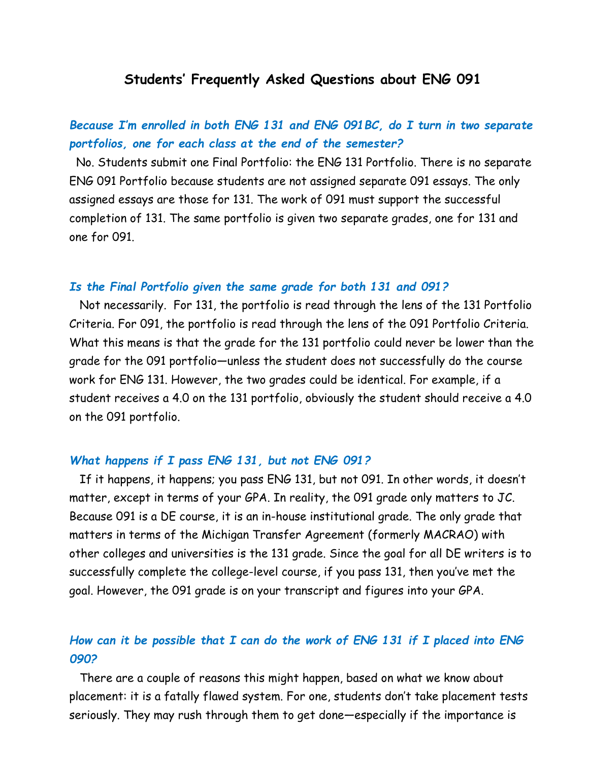## **Students' Frequently Asked Questions about ENG 091**

# *Because I'm enrolled in both ENG 131 and ENG 091BC, do I turn in two separate portfolios, one for each class at the end of the semester?*

 No. Students submit one Final Portfolio: the ENG 131 Portfolio. There is no separate ENG 091 Portfolio because students are not assigned separate 091 essays. The only assigned essays are those for 131. The work of 091 must support the successful completion of 131. The same portfolio is given two separate grades, one for 131 and one for 091.

### *Is the Final Portfolio given the same grade for both 131 and 091?*

 Not necessarily. For 131, the portfolio is read through the lens of the 131 Portfolio Criteria. For 091, the portfolio is read through the lens of the 091 Portfolio Criteria. What this means is that the grade for the 131 portfolio could never be lower than the grade for the 091 portfolio—unless the student does not successfully do the course work for ENG 131. However, the two grades could be identical. For example, if a student receives a 4.0 on the 131 portfolio, obviously the student should receive a 4.0 on the 091 portfolio.

### *What happens if I pass ENG 131, but not ENG 091?*

 If it happens, it happens; you pass ENG 131, but not 091. In other words, it doesn't matter, except in terms of your GPA. In reality, the 091 grade only matters to JC. Because 091 is a DE course, it is an in-house institutional grade. The only grade that matters in terms of the Michigan Transfer Agreement (formerly MACRAO) with other colleges and universities is the 131 grade. Since the goal for all DE writers is to successfully complete the college-level course, if you pass 131, then you've met the goal. However, the 091 grade is on your transcript and figures into your GPA.

# *How can it be possible that I can do the work of ENG 131 if I placed into ENG 090?*

There are a couple of reasons this might happen, based on what we know about placement: it is a fatally flawed system. For one, students don't take placement tests seriously. They may rush through them to get done—especially if the importance is